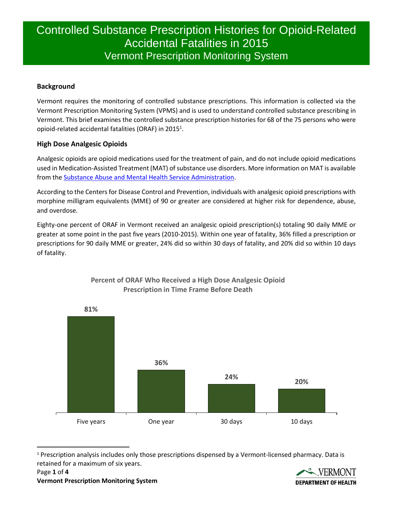# Controlled Substance Prescription Histories for Opioid-Related Accidental Fatalities in 2015 Vermont Prescription Monitoring System

# **Background**

Vermont requires the monitoring of controlled substance prescriptions. This information is collected via the Vermont Prescription Monitoring System (VPMS) and is used to understand controlled substance prescribing in Vermont. This brief examines the controlled substance prescription histories for 68 of the 75 persons who were opioid-related accidental fatalities (ORAF) in 2015<sup>1</sup>.

## **High Dose Analgesic Opioids**

Analgesic opioids are opioid medications used for the treatment of pain, and do not include opioid medications used in Medication-Assisted Treatment (MAT) of substance use disorders. More information on MAT is available from the [Substance Abuse and Mental Health Service Administration.](http://www.samhsa.gov/medication-assisted-treatment)

According to the Centers for Disease Control and Prevention, individuals with analgesic opioid prescriptions with morphine milligram equivalents (MME) of 90 or greater are considered at higher risk for dependence, abuse, and overdose.

Eighty-one percent of ORAF in Vermont received an analgesic opioid prescription(s) totaling 90 daily MME or greater at some point in the past five years (2010-2015). Within one year of fatality, 36% filled a prescription or prescriptions for 90 daily MME or greater, 24% did so within 30 days of fatality, and 20% did so within 10 days of fatality.



## **Percent of ORAF Who Received a High Dose Analgesic Opioid Prescription in Time Frame Before Death**

 $\ddot{\phantom{a}}$ <sup>1</sup> Prescription analysis includes only those prescriptions dispensed by a Vermont-licensed pharmacy. Data is retained for a maximum of six years.

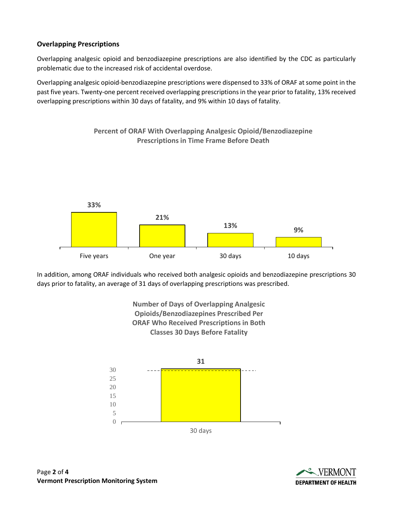# **Overlapping Prescriptions**

Overlapping analgesic opioid and benzodiazepine prescriptions are also identified by the CDC as particularly problematic due to the increased risk of accidental overdose.

Overlapping analgesic opioid-benzodiazepine prescriptions were dispensed to 33% of ORAF at some point in the past five years. Twenty-one percent received overlapping prescriptions in the year prior to fatality, 13% received overlapping prescriptions within 30 days of fatality, and 9% within 10 days of fatality.

**Percent of ORAF With Overlapping Analgesic Opioid/Benzodiazepine** 



In addition, among ORAF individuals who received both analgesic opioids and benzodiazepine prescriptions 30 days prior to fatality, an average of 31 days of overlapping prescriptions was prescribed.





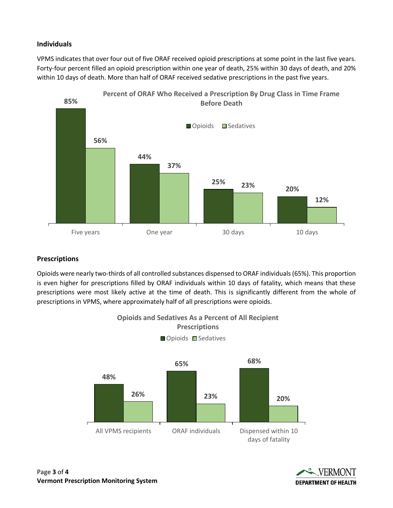#### **Individuals**

VPMS indicates that over four out of five ORAF received opioid prescriptions at some point in the last five years. Forty-four percent filled an opioid prescription within one year of death, 25% within 30 days of death, and 20% within 10 days of death. More than half of ORAF received sedative prescriptions in the past five years.



## **Prescriptions**

Opioids were nearly two-thirds of all controlled substances dispensed to ORAF individuals (65%). This proportion is even higher for prescriptions filled by ORAF individuals within 10 days of fatality, which means that these prescriptions were most likely active at the time of death. This is significantly different from the whole of prescriptions in VPMS, where approximately half of all prescriptions were opioids.